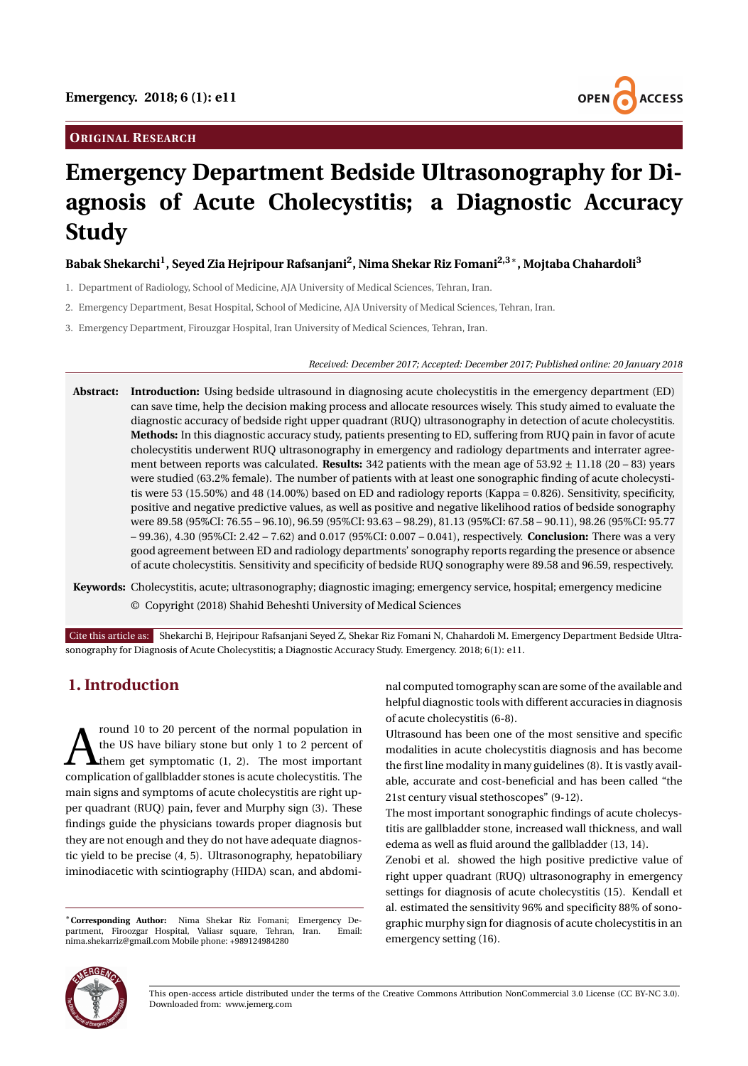## **ORIGINAL RESEARCH**



# **Emergency Department Bedside Ultrasonography for Diagnosis of Acute Cholecystitis; a Diagnostic Accuracy Study**

# **Babak Shekarchi<sup>1</sup> , Seyed Zia Hejripour Rafsanjani<sup>2</sup> , Nima Shekar Riz Fomani2,3**<sup>∗</sup> **, Mojtaba Chahardoli<sup>3</sup>**

- 1. Department of Radiology, School of Medicine, AJA University of Medical Sciences, Tehran, Iran.
- 2. Emergency Department, Besat Hospital, School of Medicine, AJA University of Medical Sciences, Tehran, Iran.
- 3. Emergency Department, Firouzgar Hospital, Iran University of Medical Sciences, Tehran, Iran.

*Received: December 2017; Accepted: December 2017; Published online: 20 January 2018*

- **Abstract: Introduction:** Using bedside ultrasound in diagnosing acute cholecystitis in the emergency department (ED) can save time, help the decision making process and allocate resources wisely. This study aimed to evaluate the diagnostic accuracy of bedside right upper quadrant (RUQ) ultrasonography in detection of acute cholecystitis. **Methods:** In this diagnostic accuracy study, patients presenting to ED, suffering from RUQ pain in favor of acute cholecystitis underwent RUQ ultrasonography in emergency and radiology departments and interrater agreement between reports was calculated. **Results:** 342 patients with the mean age of 53.92 ± 11.18 (20 – 83) years were studied (63.2% female). The number of patients with at least one sonographic finding of acute cholecystitis were 53 (15.50%) and 48 (14.00%) based on ED and radiology reports (Kappa = 0.826). Sensitivity, specificity, positive and negative predictive values, as well as positive and negative likelihood ratios of bedside sonography were 89.58 (95%CI: 76.55 – 96.10), 96.59 (95%CI: 93.63 – 98.29), 81.13 (95%CI: 67.58 – 90.11), 98.26 (95%CI: 95.77 – 99.36), 4.30 (95%CI: 2.42 – 7.62) and 0.017 (95%CI: 0.007 – 0.041), respectively. **Conclusion:** There was a very good agreement between ED and radiology departments' sonography reports regarding the presence or absence of acute cholecystitis. Sensitivity and specificity of bedside RUQ sonography were 89.58 and 96.59, respectively.
- **Keywords:** Cholecystitis, acute; ultrasonography; diagnostic imaging; emergency service, hospital; emergency medicine © Copyright (2018) Shahid Beheshti University of Medical Sciences

Cite this article as: Shekarchi B, Hejripour Rafsanjani Seyed Z, Shekar Riz Fomani N, Chahardoli M. Emergency Department Bedside Ultrasonography for Diagnosis of Acute Cholecystitis; a Diagnostic Accuracy Study. Emergency. 2018; 6(1): e11.

# **1. Introduction**

for the normal population in the US have biliary stone but only 1 to 2 percent of them get symptomatic (1, 2). The most important complication of gallbladder stones is acute cholecystitis. The round 10 to 20 percent of the normal population in the US have biliary stone but only 1 to 2 percent of them get symptomatic (1, 2). The most important main signs and symptoms of acute cholecystitis are right upper quadrant (RUQ) pain, fever and Murphy sign (3). These findings guide the physicians towards proper diagnosis but they are not enough and they do not have adequate diagnostic yield to be precise (4, 5). Ultrasonography, hepatobiliary iminodiacetic with scintiography (HIDA) scan, and abdomi-

<sup>∗</sup>**Corresponding Author:** Nima Shekar Riz Fomani; Emergency Department, Firoozgar Hospital, Valiasr square, Tehran, Iran. nima.shekarriz@gmail.com Mobile phone: +989124984280

nal computed tomography scan are some of the available and helpful diagnostic tools with different accuracies in diagnosis of acute cholecystitis (6-8).

Ultrasound has been one of the most sensitive and specific modalities in acute cholecystitis diagnosis and has become the first line modality in many guidelines (8). It is vastly available, accurate and cost-beneficial and has been called "the 21st century visual stethoscopes" (9-12).

The most important sonographic findings of acute cholecystitis are gallbladder stone, increased wall thickness, and wall edema as well as fluid around the gallbladder (13, 14).

Zenobi et al. showed the high positive predictive value of right upper quadrant (RUQ) ultrasonography in emergency settings for diagnosis of acute cholecystitis (15). Kendall et al. estimated the sensitivity 96% and specificity 88% of sonographic murphy sign for diagnosis of acute cholecystitis in an emergency setting (16).



This open-access article distributed under the terms of the Creative Commons Attribution NonCommercial 3.0 License (CC BY-NC 3.0). Downloaded from: www.jemerg.com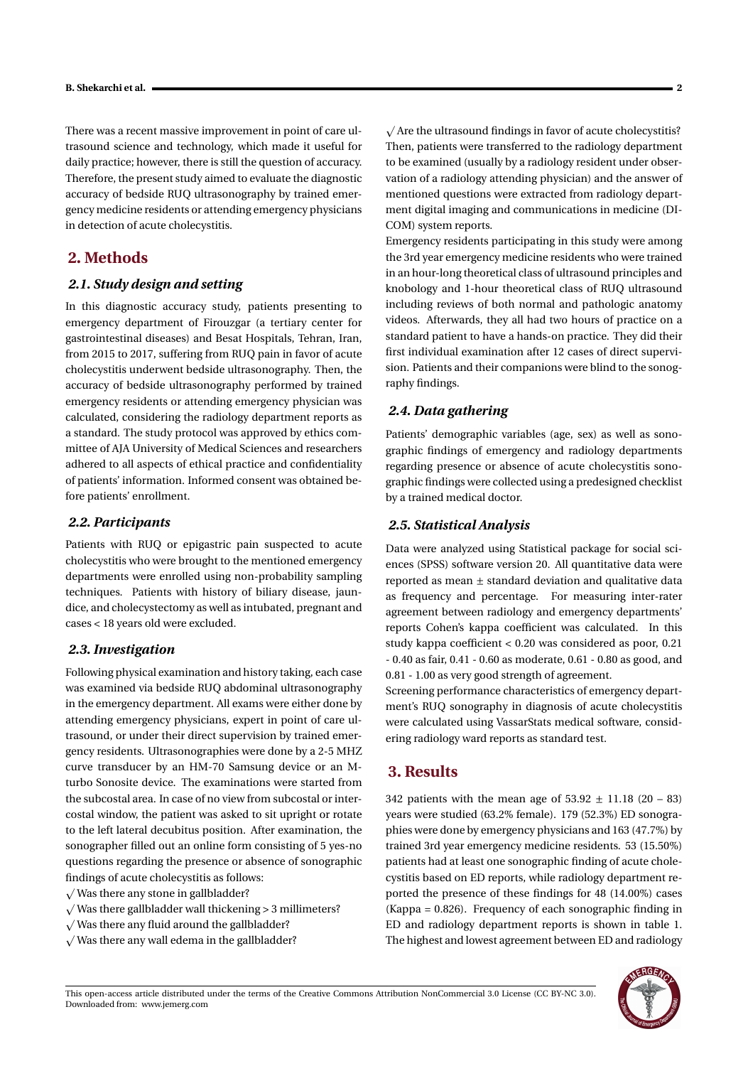There was a recent massive improvement in point of care ultrasound science and technology, which made it useful for daily practice; however, there is still the question of accuracy. Therefore, the present study aimed to evaluate the diagnostic accuracy of bedside RUQ ultrasonography by trained emergency medicine residents or attending emergency physicians in detection of acute cholecystitis.

## **2. Methods**

#### *2.1. Study design and setting*

In this diagnostic accuracy study, patients presenting to emergency department of Firouzgar (a tertiary center for gastrointestinal diseases) and Besat Hospitals, Tehran, Iran, from 2015 to 2017, suffering from RUQ pain in favor of acute cholecystitis underwent bedside ultrasonography. Then, the accuracy of bedside ultrasonography performed by trained emergency residents or attending emergency physician was calculated, considering the radiology department reports as a standard. The study protocol was approved by ethics committee of AJA University of Medical Sciences and researchers adhered to all aspects of ethical practice and confidentiality of patients' information. Informed consent was obtained before patients' enrollment.

#### *2.2. Participants*

Patients with RUQ or epigastric pain suspected to acute cholecystitis who were brought to the mentioned emergency departments were enrolled using non-probability sampling techniques. Patients with history of biliary disease, jaundice, and cholecystectomy as well as intubated, pregnant and cases < 18 years old were excluded.

#### *2.3. Investigation*

Following physical examination and history taking, each case was examined via bedside RUQ abdominal ultrasonography in the emergency department. All exams were either done by attending emergency physicians, expert in point of care ultrasound, or under their direct supervision by trained emergency residents. Ultrasonographies were done by a 2-5 MHZ curve transducer by an HM-70 Samsung device or an Mturbo Sonosite device. The examinations were started from the subcostal area. In case of no view from subcostal or intercostal window, the patient was asked to sit upright or rotate to the left lateral decubitus position. After examination, the sonographer filled out an online form consisting of 5 yes-no questions regarding the presence or absence of sonographic findings of acute cholecystitis as follows: p

- $\sqrt{ }$  Was there any stone in gallbladder?
- $\sqrt{ }$  Was there gallbladder wall thickening > 3 millimeters?
- $\sqrt{ }$  Was there any fluid around the gallbladder?
- $\sqrt{W}$ as there any wall edema in the gallbladder?

Are the ultrasound findings in favor of acute cholecystitis? Then, patients were transferred to the radiology department to be examined (usually by a radiology resident under observation of a radiology attending physician) and the answer of mentioned questions were extracted from radiology department digital imaging and communications in medicine (DI-COM) system reports.

Emergency residents participating in this study were among the 3rd year emergency medicine residents who were trained in an hour-long theoretical class of ultrasound principles and knobology and 1-hour theoretical class of RUQ ultrasound including reviews of both normal and pathologic anatomy videos. Afterwards, they all had two hours of practice on a standard patient to have a hands-on practice. They did their first individual examination after 12 cases of direct supervision. Patients and their companions were blind to the sonography findings.

#### *2.4. Data gathering*

Patients' demographic variables (age, sex) as well as sonographic findings of emergency and radiology departments regarding presence or absence of acute cholecystitis sonographic findings were collected using a predesigned checklist by a trained medical doctor.

#### *2.5. Statistical Analysis*

Data were analyzed using Statistical package for social sciences (SPSS) software version 20. All quantitative data were reported as mean ± standard deviation and qualitative data as frequency and percentage. For measuring inter-rater agreement between radiology and emergency departments' reports Cohen's kappa coefficient was calculated. In this study kappa coefficient < 0.20 was considered as poor, 0.21 - 0.40 as fair, 0.41 - 0.60 as moderate, 0.61 - 0.80 as good, and 0.81 - 1.00 as very good strength of agreement.

Screening performance characteristics of emergency department's RUQ sonography in diagnosis of acute cholecystitis were calculated using VassarStats medical software, considering radiology ward reports as standard test.

# **3. Results**

342 patients with the mean age of  $53.92 \pm 11.18$  (20 – 83) years were studied (63.2% female). 179 (52.3%) ED sonographies were done by emergency physicians and 163 (47.7%) by trained 3rd year emergency medicine residents. 53 (15.50%) patients had at least one sonographic finding of acute cholecystitis based on ED reports, while radiology department reported the presence of these findings for 48 (14.00%) cases (Kappa = 0.826). Frequency of each sonographic finding in ED and radiology department reports is shown in table 1. The highest and lowest agreement between ED and radiology

This open-access article distributed under the terms of the Creative Commons Attribution NonCommercial 3.0 License (CC BY-NC 3.0). Downloaded from: www.jemerg.com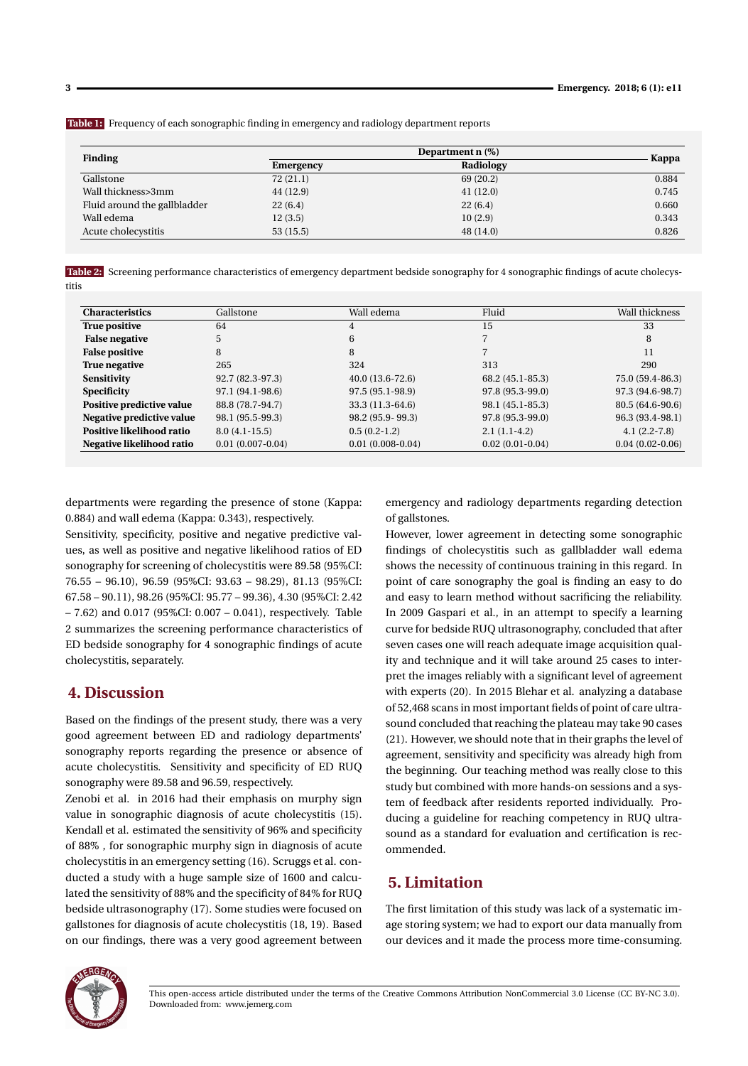**Table 1:** Frequency of each sonographic finding in emergency and radiology department reports

| <b>Finding</b>               |           | Kappa     |       |
|------------------------------|-----------|-----------|-------|
|                              | Emergency | Radiology |       |
| Gallstone                    | 72(21.1)  | 69 (20.2) | 0.884 |
| Wall thickness>3mm           | 44 (12.9) | 41(12.0)  | 0.745 |
| Fluid around the gallbladder | 22(6.4)   | 22(6.4)   | 0.660 |
| Wall edema                   | 12(3.5)   | 10(2.9)   | 0.343 |
| Acute cholecystitis          | 53(15.5)  | 48(14.0)  | 0.826 |

**Table 2:** Screening performance characteristics of emergency department bedside sonography for 4 sonographic findings of acute cholecystitis

| <b>Characteristics</b>    | Gallstone          | Wall edema         | Fluid             | Wall thickness    |
|---------------------------|--------------------|--------------------|-------------------|-------------------|
| True positive             | 64                 | 4                  | 15                | 33                |
| <b>False negative</b>     | 5                  | 6                  |                   | 8                 |
| <b>False positive</b>     | 8                  | 8                  |                   | 11                |
| True negative             | 265                | 324                | 313               | 290               |
| Sensitivity               | 92.7 (82.3-97.3)   | $40.0(13.6-72.6)$  | 68.2 (45.1-85.3)  | 75.0 (59.4-86.3)  |
| <b>Specificity</b>        | 97.1 (94.1-98.6)   | 97.5 (95.1-98.9)   | 97.8 (95.3-99.0)  | 97.3 (94.6-98.7)  |
| Positive predictive value | 88.8 (78.7-94.7)   | $33.3(11.3-64.6)$  | 98.1 (45.1-85.3)  | 80.5 (64.6-90.6)  |
| Negative predictive value | 98.1 (95.5-99.3)   | 98.2 (95.9-99.3)   | 97.8 (95.3-99.0)  | 96.3 (93.4-98.1)  |
| Positive likelihood ratio | $8.0(4.1-15.5)$    | $0.5(0.2-1.2)$     | $2.1(1.1-4.2)$    | $4.1(2.2-7.8)$    |
| Negative likelihood ratio | $0.01(0.007-0.04)$ | $0.01(0.008-0.04)$ | $0.02(0.01-0.04)$ | $0.04(0.02-0.06)$ |

departments were regarding the presence of stone (Kappa: 0.884) and wall edema (Kappa: 0.343), respectively.

Sensitivity, specificity, positive and negative predictive values, as well as positive and negative likelihood ratios of ED sonography for screening of cholecystitis were 89.58 (95%CI: 76.55 – 96.10), 96.59 (95%CI: 93.63 – 98.29), 81.13 (95%CI: 67.58 – 90.11), 98.26 (95%CI: 95.77 – 99.36), 4.30 (95%CI: 2.42 – 7.62) and 0.017 (95%CI: 0.007 – 0.041), respectively. Table 2 summarizes the screening performance characteristics of ED bedside sonography for 4 sonographic findings of acute cholecystitis, separately.

# **4. Discussion**

Based on the findings of the present study, there was a very good agreement between ED and radiology departments' sonography reports regarding the presence or absence of acute cholecystitis. Sensitivity and specificity of ED RUQ sonography were 89.58 and 96.59, respectively.

Zenobi et al. in 2016 had their emphasis on murphy sign value in sonographic diagnosis of acute cholecystitis (15). Kendall et al. estimated the sensitivity of 96% and specificity of 88% , for sonographic murphy sign in diagnosis of acute cholecystitis in an emergency setting (16). Scruggs et al. conducted a study with a huge sample size of 1600 and calculated the sensitivity of 88% and the specificity of 84% for RUQ bedside ultrasonography (17). Some studies were focused on gallstones for diagnosis of acute cholecystitis (18, 19). Based on our findings, there was a very good agreement between emergency and radiology departments regarding detection of gallstones.

However, lower agreement in detecting some sonographic findings of cholecystitis such as gallbladder wall edema shows the necessity of continuous training in this regard. In point of care sonography the goal is finding an easy to do and easy to learn method without sacrificing the reliability. In 2009 Gaspari et al., in an attempt to specify a learning curve for bedside RUQ ultrasonography, concluded that after seven cases one will reach adequate image acquisition quality and technique and it will take around 25 cases to interpret the images reliably with a significant level of agreement with experts (20). In 2015 Blehar et al. analyzing a database of 52,468 scans in most important fields of point of care ultrasound concluded that reaching the plateau may take 90 cases (21). However, we should note that in their graphs the level of agreement, sensitivity and specificity was already high from the beginning. Our teaching method was really close to this study but combined with more hands-on sessions and a system of feedback after residents reported individually. Producing a guideline for reaching competency in RUQ ultrasound as a standard for evaluation and certification is recommended.

# **5. Limitation**

The first limitation of this study was lack of a systematic image storing system; we had to export our data manually from our devices and it made the process more time-consuming.



This open-access article distributed under the terms of the Creative Commons Attribution NonCommercial 3.0 License (CC BY-NC 3.0). Downloaded from: www.jemerg.com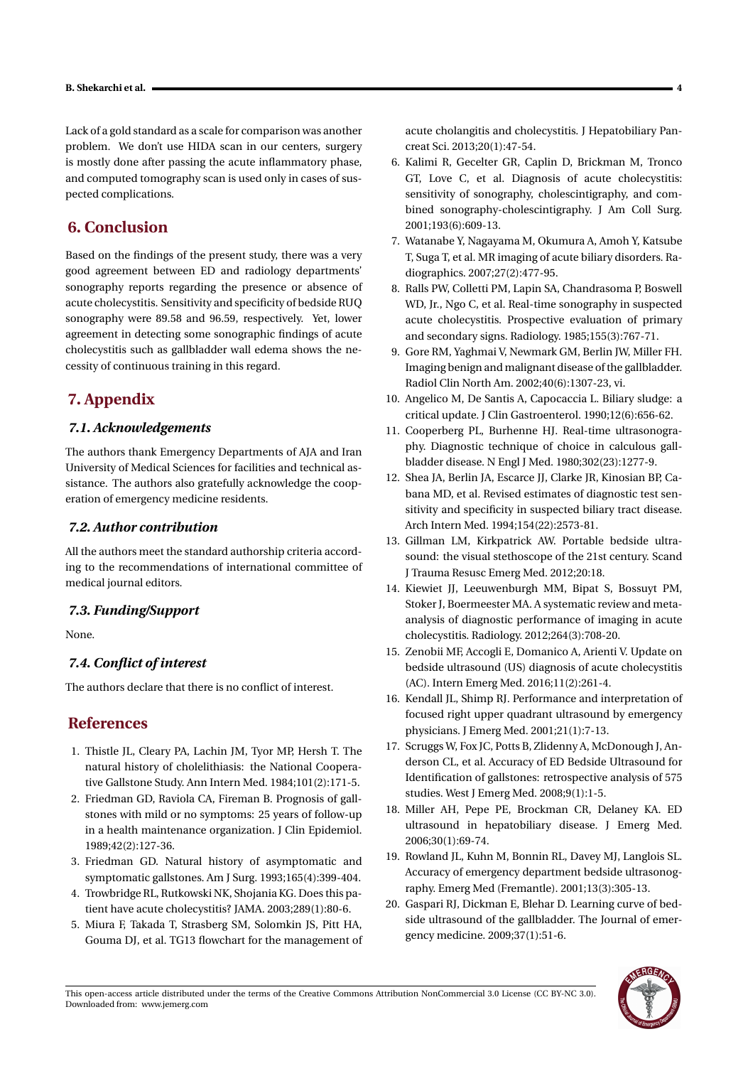Lack of a gold standard as a scale for comparison was another problem. We don't use HIDA scan in our centers, surgery is mostly done after passing the acute inflammatory phase, and computed tomography scan is used only in cases of suspected complications.

# **6. Conclusion**

Based on the findings of the present study, there was a very good agreement between ED and radiology departments' sonography reports regarding the presence or absence of acute cholecystitis. Sensitivity and specificity of bedside RUQ sonography were 89.58 and 96.59, respectively. Yet, lower agreement in detecting some sonographic findings of acute cholecystitis such as gallbladder wall edema shows the necessity of continuous training in this regard.

# **7. Appendix**

## *7.1. Acknowledgements*

The authors thank Emergency Departments of AJA and Iran University of Medical Sciences for facilities and technical assistance. The authors also gratefully acknowledge the cooperation of emergency medicine residents.

## *7.2. Author contribution*

All the authors meet the standard authorship criteria according to the recommendations of international committee of medical journal editors.

## *7.3. Funding/Support*

None.

## *7.4. Conflict of interest*

The authors declare that there is no conflict of interest.

# **References**

- 1. Thistle JL, Cleary PA, Lachin JM, Tyor MP, Hersh T. The natural history of cholelithiasis: the National Cooperative Gallstone Study. Ann Intern Med. 1984;101(2):171-5.
- 2. Friedman GD, Raviola CA, Fireman B. Prognosis of gallstones with mild or no symptoms: 25 years of follow-up in a health maintenance organization. J Clin Epidemiol. 1989;42(2):127-36.
- 3. Friedman GD. Natural history of asymptomatic and symptomatic gallstones. Am J Surg. 1993;165(4):399-404.
- 4. Trowbridge RL, Rutkowski NK, Shojania KG. Does this patient have acute cholecystitis? JAMA. 2003;289(1):80-6.
- 5. Miura F, Takada T, Strasberg SM, Solomkin JS, Pitt HA, Gouma DJ, et al. TG13 flowchart for the management of

acute cholangitis and cholecystitis. J Hepatobiliary Pancreat Sci. 2013;20(1):47-54.

- 6. Kalimi R, Gecelter GR, Caplin D, Brickman M, Tronco GT, Love C, et al. Diagnosis of acute cholecystitis: sensitivity of sonography, cholescintigraphy, and combined sonography-cholescintigraphy. J Am Coll Surg. 2001;193(6):609-13.
- 7. Watanabe Y, Nagayama M, Okumura A, Amoh Y, Katsube T, Suga T, et al. MR imaging of acute biliary disorders. Radiographics. 2007;27(2):477-95.
- 8. Ralls PW, Colletti PM, Lapin SA, Chandrasoma P, Boswell WD, Jr., Ngo C, et al. Real-time sonography in suspected acute cholecystitis. Prospective evaluation of primary and secondary signs. Radiology. 1985;155(3):767-71.
- 9. Gore RM, Yaghmai V, Newmark GM, Berlin JW, Miller FH. Imaging benign and malignant disease of the gallbladder. Radiol Clin North Am. 2002;40(6):1307-23, vi.
- 10. Angelico M, De Santis A, Capocaccia L. Biliary sludge: a critical update. J Clin Gastroenterol. 1990;12(6):656-62.
- 11. Cooperberg PL, Burhenne HJ. Real-time ultrasonography. Diagnostic technique of choice in calculous gallbladder disease. N Engl J Med. 1980;302(23):1277-9.
- 12. Shea JA, Berlin JA, Escarce JJ, Clarke JR, Kinosian BP, Cabana MD, et al. Revised estimates of diagnostic test sensitivity and specificity in suspected biliary tract disease. Arch Intern Med. 1994;154(22):2573-81.
- 13. Gillman LM, Kirkpatrick AW. Portable bedside ultrasound: the visual stethoscope of the 21st century. Scand J Trauma Resusc Emerg Med. 2012;20:18.
- 14. Kiewiet JJ, Leeuwenburgh MM, Bipat S, Bossuyt PM, Stoker J, Boermeester MA. A systematic review and metaanalysis of diagnostic performance of imaging in acute cholecystitis. Radiology. 2012;264(3):708-20.
- 15. Zenobii MF, Accogli E, Domanico A, Arienti V. Update on bedside ultrasound (US) diagnosis of acute cholecystitis (AC). Intern Emerg Med. 2016;11(2):261-4.
- 16. Kendall JL, Shimp RJ. Performance and interpretation of focused right upper quadrant ultrasound by emergency physicians. J Emerg Med. 2001;21(1):7-13.
- 17. Scruggs W, Fox JC, Potts B, Zlidenny A, McDonough J, Anderson CL, et al. Accuracy of ED Bedside Ultrasound for Identification of gallstones: retrospective analysis of 575 studies. West J Emerg Med. 2008;9(1):1-5.
- 18. Miller AH, Pepe PE, Brockman CR, Delaney KA. ED ultrasound in hepatobiliary disease. J Emerg Med. 2006;30(1):69-74.
- 19. Rowland JL, Kuhn M, Bonnin RL, Davey MJ, Langlois SL. Accuracy of emergency department bedside ultrasonography. Emerg Med (Fremantle). 2001;13(3):305-13.
- 20. Gaspari RJ, Dickman E, Blehar D. Learning curve of bedside ultrasound of the gallbladder. The Journal of emergency medicine. 2009;37(1):51-6.